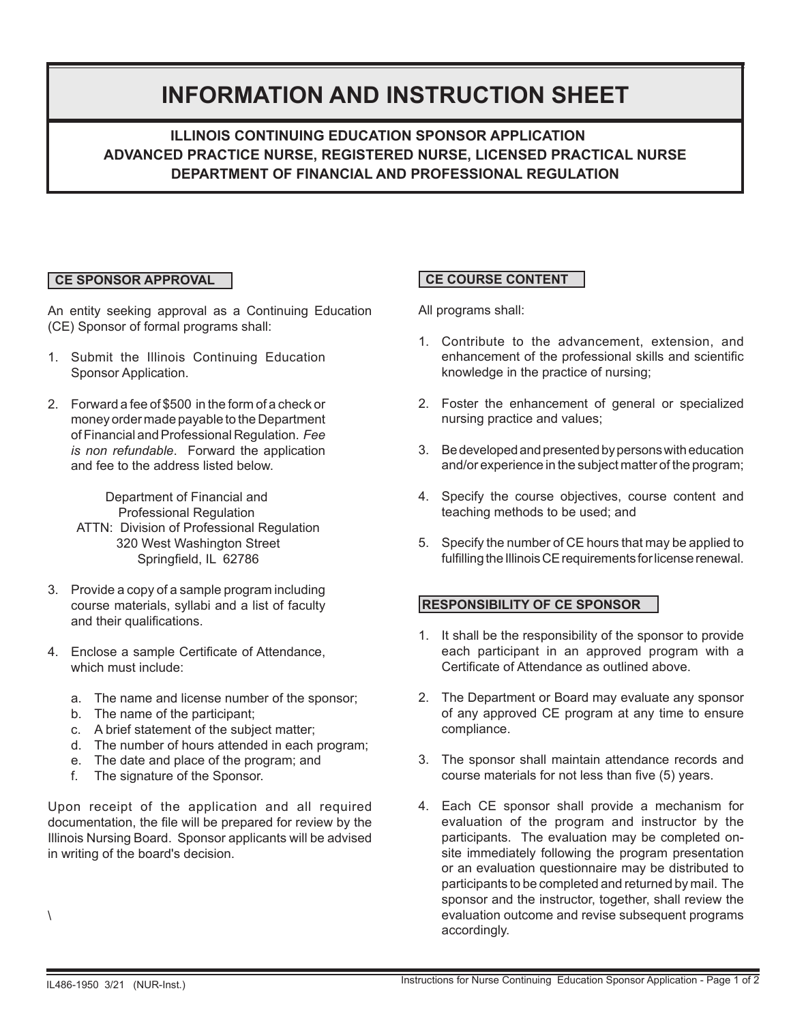# **INFORMATION AND INSTRUCTION SHEET**

 **ILLINOIS CONTINUING EDUCATION SPONSOR APPLICATION ADVANCED PRACTICE NURSE, REGISTERED NURSE, LICENSED PRACTICAL NURSE DEPARTMENT OF FINANCIAL AND PROFESSIONAL REGULATION**

## **CE SPONSOR APPROVAL**

An entity seeking approval as a Continuing Education (CE) Sponsor of formal programs shall:

- 1. Submit the Illinois Continuing Education Sponsor Application.
- 2. Forward a fee of \$500 in the form of a check or money order made payable to the Department of Financial and Professional Regulation. *Fee is non refundable*. Forward the application and fee to the address listed below.

Department of Financial and Professional Regulation ATTN: Division of Professional Regulation 320 West Washington Street Springfield, IL 62786

- 3. Provide a copy of a sample program including course materials, syllabi and a list of faculty and their qualifications.
- 4. Enclose a sample Certificate of Attendance, which must include:
	- a. The name and license number of the sponsor;
	- b. The name of the participant;
	- c. A brief statement of the subject matter;
	- d. The number of hours attended in each program;
	- e. The date and place of the program; and
	- f. The signature of the Sponsor.

Upon receipt of the application and all required documentation, the file will be prepared for review by the Illinois Nursing Board. Sponsor applicants will be advised in writing of the board's decision.

# **CE COURSE CONTENT**

All programs shall:

- 1. Contribute to the advancement, extension, and enhancement of the professional skills and scientific knowledge in the practice of nursing;
- 2. Foster the enhancement of general or specialized nursing practice and values;
- 3. Be developed and presented by persons with education and/or experience in the subject matter of the program;
- 4. Specify the course objectives, course content and teaching methods to be used; and
- 5. Specify the number of CE hours that may be applied to fulfilling the Illinois CE requirements for license renewal.

### **RESPONSIBILITY OF CE SPONSOR**

- 1. It shall be the responsibility of the sponsor to provide each participant in an approved program with a Certificate of Attendance as outlined above.
- 2. The Department or Board may evaluate any sponsor of any approved CE program at any time to ensure compliance.
- 3. The sponsor shall maintain attendance records and course materials for not less than five (5) years.
- 4. Each CE sponsor shall provide a mechanism for evaluation of the program and instructor by the participants. The evaluation may be completed onsite immediately following the program presentation or an evaluation questionnaire may be distributed to participants to be completed and returned by mail. The sponsor and the instructor, together, shall review the evaluation outcome and revise subsequent programs accordingly.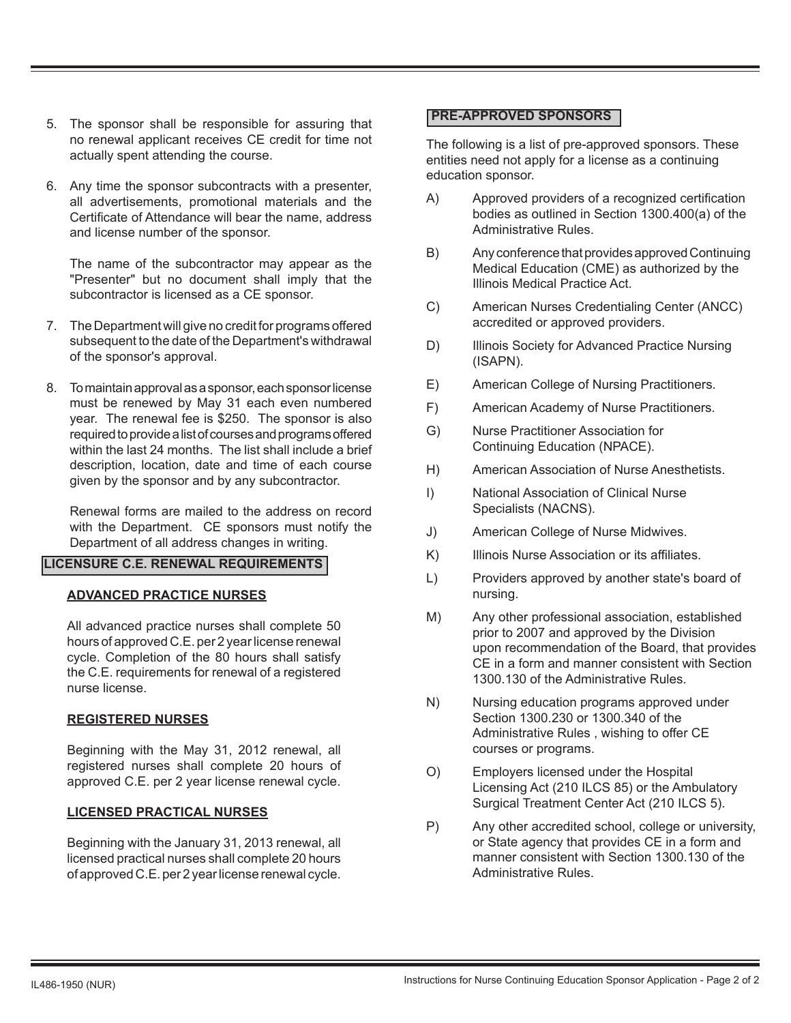- 5. The sponsor shall be responsible for assuring that no renewal applicant receives CE credit for time not actually spent attending the course.
- 6. Any time the sponsor subcontracts with a presenter, all advertisements, promotional materials and the Certificate of Attendance will bear the name, address and license number of the sponsor.

 The name of the subcontractor may appear as the "Presenter" but no document shall imply that the subcontractor is licensed as a CE sponsor.

- 7. The Department will give no credit for programs offered subsequent to the date of the Department's withdrawal of the sponsor's approval.
- 8. To maintain approval as a sponsor, each sponsor license must be renewed by May 31 each even numbered year. The renewal fee is \$250. The sponsor is also required to provide a list of courses and programs offered within the last 24 months. The list shall include a brief description, location, date and time of each course given by the sponsor and by any subcontractor.

 Renewal forms are mailed to the address on record with the Department. CE sponsors must notify the Department of all address changes in writing.

### **LICENSURE C.E. RENEWAL REQUIREMENTS**

### **ADVANCED PRACTICE NURSES**

 All advanced practice nurses shall complete 50 hours of approved C.E. per 2 year license renewal cycle. Completion of the 80 hours shall satisfy the C.E. requirements for renewal of a registered nurse license.

#### **REGISTERED NURSES**

Beginning with the May 31, 2012 renewal, all registered nurses shall complete 20 hours of approved C.E. per 2 year license renewal cycle.

#### **LICENSED PRACTICAL NURSES**

Beginning with the January 31, 2013 renewal, all licensed practical nurses shall complete 20 hours of approved C.E. per 2 year license renewal cycle.

#### **PRE-APPROVED SPONSORS**

The following is a list of pre-approved sponsors. These entities need not apply for a license as a continuing education sponsor.

- A) Approved providers of a recognized certification bodies as outlined in Section 1300.400(a) of the Administrative Rules.
- B) Any conference that provides approved Continuing Medical Education (CME) as authorized by the Illinois Medical Practice Act.
- C) American Nurses Credentialing Center (ANCC) accredited or approved providers.
- D) Illinois Society for Advanced Practice Nursing (ISAPN).
- E) American College of Nursing Practitioners.
- F) American Academy of Nurse Practitioners.
- G) Nurse Practitioner Association for Continuing Education (NPACE).
- H) American Association of Nurse Anesthetists.
- I) National Association of Clinical Nurse Specialists (NACNS).
- J) American College of Nurse Midwives.
- K) Illinois Nurse Association or its affiliates.
- L) Providers approved by another state's board of nursing.
- M) Any other professional association, established prior to 2007 and approved by the Division upon recommendation of the Board, that provides CE in a form and manner consistent with Section 1300.130 of the Administrative Rules.
- N) Nursing education programs approved under Section 1300.230 or 1300.340 of the Administrative Rules, wishing to offer CE courses or programs.
- O) Employers licensed under the Hospital Licensing Act (210 ILCS 85) or the Ambulatory Surgical Treatment Center Act (210 ILCS 5).
- P) Any other accredited school, college or university, or State agency that provides CE in a form and manner consistent with Section 1300.130 of the Administrative Rules.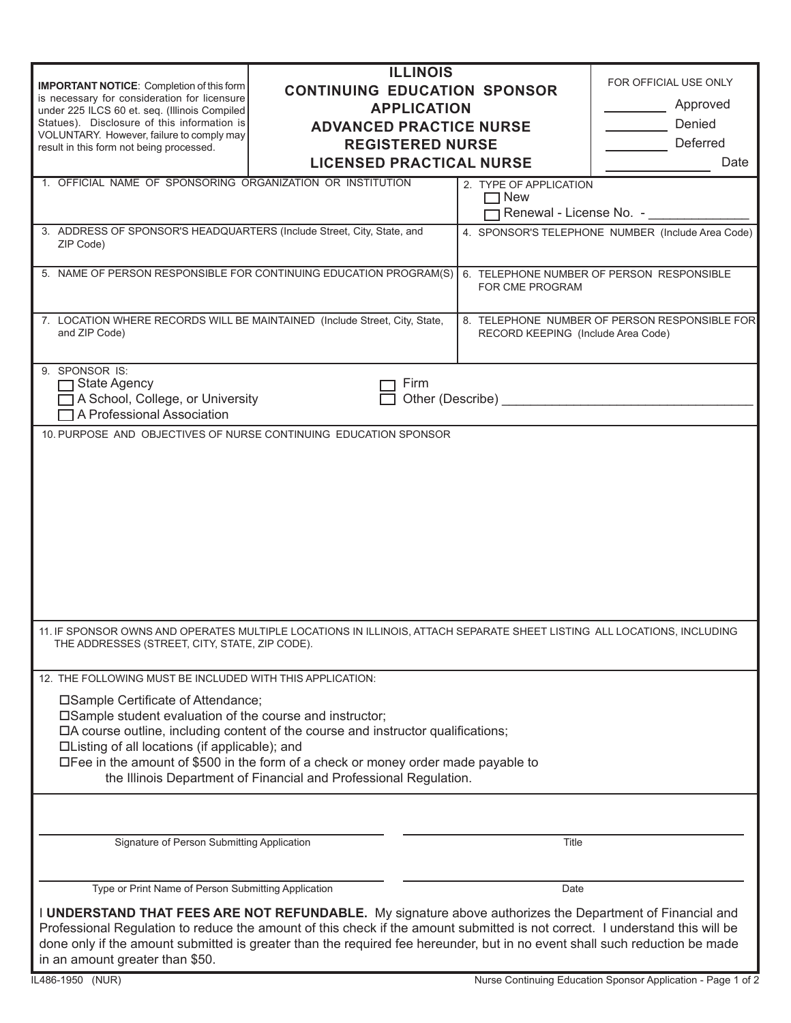|                                                                                                                                                                                                                                                               | <b>ILLINOIS</b>                 |                                                   |                                               |  |
|---------------------------------------------------------------------------------------------------------------------------------------------------------------------------------------------------------------------------------------------------------------|---------------------------------|---------------------------------------------------|-----------------------------------------------|--|
| <b>IMPORTANT NOTICE:</b> Completion of this form<br><b>CONTINUING EDUCATION SPONSOR</b>                                                                                                                                                                       |                                 |                                                   | FOR OFFICIAL USE ONLY                         |  |
| is necessary for consideration for licensure<br><b>APPLICATION</b><br>under 225 ILCS 60 et. seq. (Illinois Compiled                                                                                                                                           |                                 | Approved                                          |                                               |  |
| Statues). Disclosure of this information is                                                                                                                                                                                                                   | <b>ADVANCED PRACTICE NURSE</b>  |                                                   | Denied                                        |  |
| VOLUNTARY. However, failure to comply may<br>result in this form not being processed.                                                                                                                                                                         | <b>REGISTERED NURSE</b>         |                                                   | Deferred                                      |  |
|                                                                                                                                                                                                                                                               | <b>LICENSED PRACTICAL NURSE</b> |                                                   | Date                                          |  |
| 1. OFFICIAL NAME OF SPONSORING ORGANIZATION OR INSTITUTION                                                                                                                                                                                                    |                                 | 2. TYPE OF APPLICATION                            |                                               |  |
|                                                                                                                                                                                                                                                               |                                 | $\Box$ New                                        |                                               |  |
|                                                                                                                                                                                                                                                               |                                 |                                                   | ヿRenewal - License No.  -                     |  |
| 3. ADDRESS OF SPONSOR'S HEADQUARTERS (Include Street, City, State, and<br>ZIP Code)                                                                                                                                                                           |                                 | 4. SPONSOR'S TELEPHONE NUMBER (Include Area Code) |                                               |  |
|                                                                                                                                                                                                                                                               |                                 |                                                   |                                               |  |
| 5. NAME OF PERSON RESPONSIBLE FOR CONTINUING EDUCATION PROGRAM(S)                                                                                                                                                                                             |                                 |                                                   | 6. TELEPHONE NUMBER OF PERSON RESPONSIBLE     |  |
|                                                                                                                                                                                                                                                               |                                 | FOR CME PROGRAM                                   |                                               |  |
| 7. LOCATION WHERE RECORDS WILL BE MAINTAINED (Include Street, City, State,                                                                                                                                                                                    |                                 |                                                   | 8. TELEPHONE NUMBER OF PERSON RESPONSIBLE FOR |  |
| and ZIP Code)                                                                                                                                                                                                                                                 |                                 | RECORD KEEPING (Include Area Code)                |                                               |  |
|                                                                                                                                                                                                                                                               |                                 |                                                   |                                               |  |
| 9. SPONSOR IS:                                                                                                                                                                                                                                                |                                 |                                                   |                                               |  |
| Firm<br>$\Box$ State Agency<br>Other (Describe) and the control of the control of the control of the control of the control of the control of the control of the control of the control of the control of the control of the control of the control of the co |                                 |                                                   |                                               |  |
| A School, College, or University<br>□ A Professional Association                                                                                                                                                                                              |                                 |                                                   |                                               |  |
| 10. PURPOSE AND OBJECTIVES OF NURSE CONTINUING EDUCATION SPONSOR                                                                                                                                                                                              |                                 |                                                   |                                               |  |
|                                                                                                                                                                                                                                                               |                                 |                                                   |                                               |  |
|                                                                                                                                                                                                                                                               |                                 |                                                   |                                               |  |
|                                                                                                                                                                                                                                                               |                                 |                                                   |                                               |  |
|                                                                                                                                                                                                                                                               |                                 |                                                   |                                               |  |
|                                                                                                                                                                                                                                                               |                                 |                                                   |                                               |  |
|                                                                                                                                                                                                                                                               |                                 |                                                   |                                               |  |
|                                                                                                                                                                                                                                                               |                                 |                                                   |                                               |  |
|                                                                                                                                                                                                                                                               |                                 |                                                   |                                               |  |
|                                                                                                                                                                                                                                                               |                                 |                                                   |                                               |  |
|                                                                                                                                                                                                                                                               |                                 |                                                   |                                               |  |
| 11. IF SPONSOR OWNS AND OPERATES MULTIPLE LOCATIONS IN ILLINOIS, ATTACH SEPARATE SHEET LISTING ALL LOCATIONS, INCLUDING                                                                                                                                       |                                 |                                                   |                                               |  |
| THE ADDRESSES (STREET, CITY, STATE, ZIP CODE).                                                                                                                                                                                                                |                                 |                                                   |                                               |  |
| 12. THE FOLLOWING MUST BE INCLUDED WITH THIS APPLICATION:                                                                                                                                                                                                     |                                 |                                                   |                                               |  |
|                                                                                                                                                                                                                                                               |                                 |                                                   |                                               |  |
| □Sample Certificate of Attendance;<br>□Sample student evaluation of the course and instructor;                                                                                                                                                                |                                 |                                                   |                                               |  |
| □A course outline, including content of the course and instructor qualifications;                                                                                                                                                                             |                                 |                                                   |                                               |  |
| □Listing of all locations (if applicable); and                                                                                                                                                                                                                |                                 |                                                   |                                               |  |
| $\Box$ Fee in the amount of \$500 in the form of a check or money order made payable to                                                                                                                                                                       |                                 |                                                   |                                               |  |
| the Illinois Department of Financial and Professional Regulation.                                                                                                                                                                                             |                                 |                                                   |                                               |  |
|                                                                                                                                                                                                                                                               |                                 |                                                   |                                               |  |
|                                                                                                                                                                                                                                                               |                                 |                                                   |                                               |  |
| Signature of Person Submitting Application                                                                                                                                                                                                                    |                                 | Title                                             |                                               |  |
|                                                                                                                                                                                                                                                               |                                 |                                                   |                                               |  |
|                                                                                                                                                                                                                                                               |                                 |                                                   |                                               |  |
| Type or Print Name of Person Submitting Application                                                                                                                                                                                                           |                                 | Date                                              |                                               |  |
| I UNDERSTAND THAT FEES ARE NOT REFUNDABLE. My signature above authorizes the Department of Financial and                                                                                                                                                      |                                 |                                                   |                                               |  |
| Professional Regulation to reduce the amount of this check if the amount submitted is not correct. I understand this will be                                                                                                                                  |                                 |                                                   |                                               |  |
| done only if the amount submitted is greater than the required fee hereunder, but in no event shall such reduction be made                                                                                                                                    |                                 |                                                   |                                               |  |

IL486-1950 (NUR)

in an amount greater than \$50.